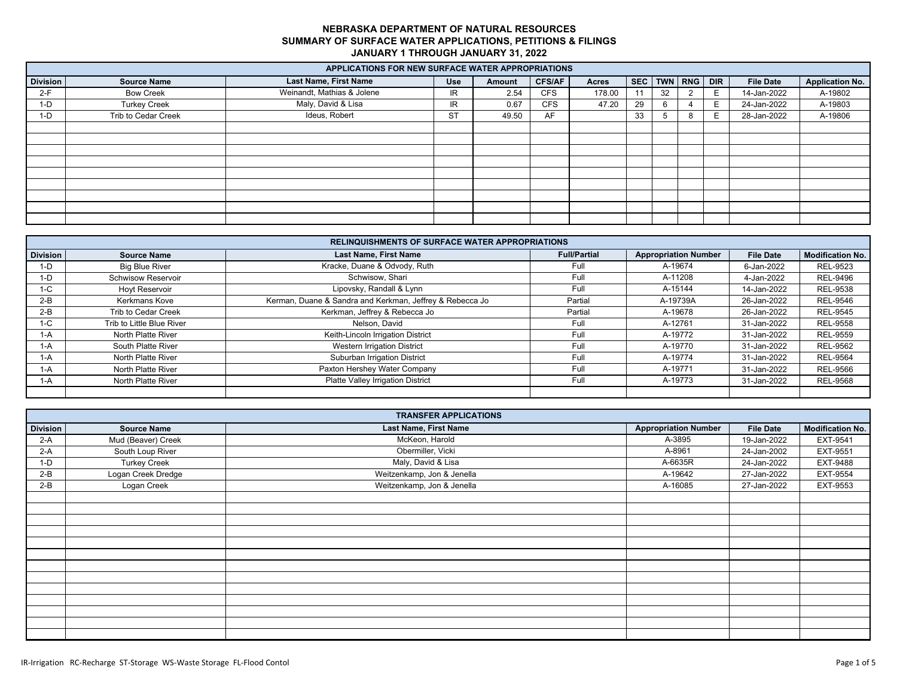|                 | APPLICATIONS FOR NEW SURFACE WATER APPROPRIATIONS |                              |            |        |               |        |    |    |                 |            |                  |                        |
|-----------------|---------------------------------------------------|------------------------------|------------|--------|---------------|--------|----|----|-----------------|------------|------------------|------------------------|
| <b>Division</b> | <b>Source Name</b>                                | <b>Last Name, First Name</b> | <b>Use</b> | Amount | <b>CFS/AF</b> | Acres  |    |    | SEC   TWN   RNG | <b>DIR</b> | <b>File Date</b> | <b>Application No.</b> |
| $2-F$           | <b>Bow Creek</b>                                  | Weinandt, Mathias & Jolene   | IR.        | 2.54   | <b>CFS</b>    | 178.00 | 11 | 32 |                 | E.         | 14-Jan-2022      | A-19802                |
| $1-D$           | <b>Turkey Creek</b>                               | Maly, David & Lisa           | IR.        | 0.67   | <b>CFS</b>    | 47.20  | 29 |    |                 | E.         | 24-Jan-2022      | A-19803                |
| $1-D$           | Trib to Cedar Creek                               | Ideus, Robert                | <b>ST</b>  | 49.50  | AF            |        | 33 |    |                 | E.         | 28-Jan-2022      | A-19806                |
|                 |                                                   |                              |            |        |               |        |    |    |                 |            |                  |                        |
|                 |                                                   |                              |            |        |               |        |    |    |                 |            |                  |                        |
|                 |                                                   |                              |            |        |               |        |    |    |                 |            |                  |                        |
|                 |                                                   |                              |            |        |               |        |    |    |                 |            |                  |                        |
|                 |                                                   |                              |            |        |               |        |    |    |                 |            |                  |                        |
|                 |                                                   |                              |            |        |               |        |    |    |                 |            |                  |                        |
|                 |                                                   |                              |            |        |               |        |    |    |                 |            |                  |                        |
|                 |                                                   |                              |            |        |               |        |    |    |                 |            |                  |                        |
|                 |                                                   |                              |            |        |               |        |    |    |                 |            |                  |                        |

|                 |                           | <b>RELINQUISHMENTS OF SURFACE WATER APPROPRIATIONS</b>   |                     |                             |                  |                         |
|-----------------|---------------------------|----------------------------------------------------------|---------------------|-----------------------------|------------------|-------------------------|
| <b>Division</b> | <b>Source Name</b>        | <b>Last Name, First Name</b>                             | <b>Full/Partial</b> | <b>Appropriation Number</b> | <b>File Date</b> | <b>Modification No.</b> |
| $1-D$           | <b>Big Blue River</b>     | Kracke, Duane & Odvody, Ruth                             | Full                | A-19674                     | 6-Jan-2022       | <b>REL-9523</b>         |
| $1-D$           | <b>Schwisow Reservoir</b> | Schwisow, Shari                                          | Full                | A-11208                     | 4-Jan-2022       | REL-9496                |
| $1-C$           | Hoyt Reservoir            | Lipovsky, Randall & Lynn                                 | Full                | A-15144                     | 14-Jan-2022      | <b>REL-9538</b>         |
| $2-B$           | Kerkmans Kove             | Kerman, Duane & Sandra and Kerkman, Jeffrey & Rebecca Jo | Partial             | A-19739A                    | 26-Jan-2022      | <b>REL-9546</b>         |
| $2-B$           | Trib to Cedar Creek       | Kerkman, Jeffrey & Rebecca Jo                            | Partial             | A-19678                     | 26-Jan-2022      | REL-9545                |
| $1-C$           | Trib to Little Blue River | Nelson, David                                            | Full                | A-12761                     | 31-Jan-2022      | <b>REL-9558</b>         |
| $1-A$           | North Platte River        | Keith-Lincoln Irrigation District                        | Full                | A-19772                     | 31-Jan-2022      | <b>REL-9559</b>         |
| $1-A$           | South Platte River        | <b>Western Irrigation District</b>                       | Full                | A-19770                     | 31-Jan-2022      | REL-9562                |
| 1-A             | North Platte River        | Suburban Irrigation District                             | Full                | A-19774                     | 31-Jan-2022      | <b>REL-9564</b>         |
| 1-A             | North Platte River        | Paxton Hershey Water Company                             | Full                | A-19771                     | 31-Jan-2022      | <b>REL-9566</b>         |
| $1-A$           | North Platte River        | Platte Valley Irrigation District                        | Full                | A-19773                     | 31-Jan-2022      | <b>REL-9568</b>         |
|                 |                           |                                                          |                     |                             |                  |                         |

|                 |                     | <b>TRANSFER APPLICATIONS</b> |                             |                  |                         |
|-----------------|---------------------|------------------------------|-----------------------------|------------------|-------------------------|
| <b>Division</b> | <b>Source Name</b>  | Last Name, First Name        | <b>Appropriation Number</b> | <b>File Date</b> | <b>Modification No.</b> |
| $2-A$           | Mud (Beaver) Creek  | McKeon, Harold               | A-3895                      | 19-Jan-2022      | EXT-9541                |
| $2-A$           | South Loup River    | Obermiller, Vicki            | A-8961                      | 24-Jan-2002      | EXT-9551                |
| $1-D$           | <b>Turkey Creek</b> | Maly, David & Lisa           | A-6635R                     | 24-Jan-2022      | EXT-9488                |
| $2-B$           | Logan Creek Dredge  | Weitzenkamp, Jon & Jenella   | A-19642                     | 27-Jan-2022      | EXT-9554                |
| $2-B$           | Logan Creek         | Weitzenkamp, Jon & Jenella   | A-16085                     | 27-Jan-2022      | EXT-9553                |
|                 |                     |                              |                             |                  |                         |
|                 |                     |                              |                             |                  |                         |
|                 |                     |                              |                             |                  |                         |
|                 |                     |                              |                             |                  |                         |
|                 |                     |                              |                             |                  |                         |
|                 |                     |                              |                             |                  |                         |
|                 |                     |                              |                             |                  |                         |
|                 |                     |                              |                             |                  |                         |
|                 |                     |                              |                             |                  |                         |
|                 |                     |                              |                             |                  |                         |
|                 |                     |                              |                             |                  |                         |
|                 |                     |                              |                             |                  |                         |
|                 |                     |                              |                             |                  |                         |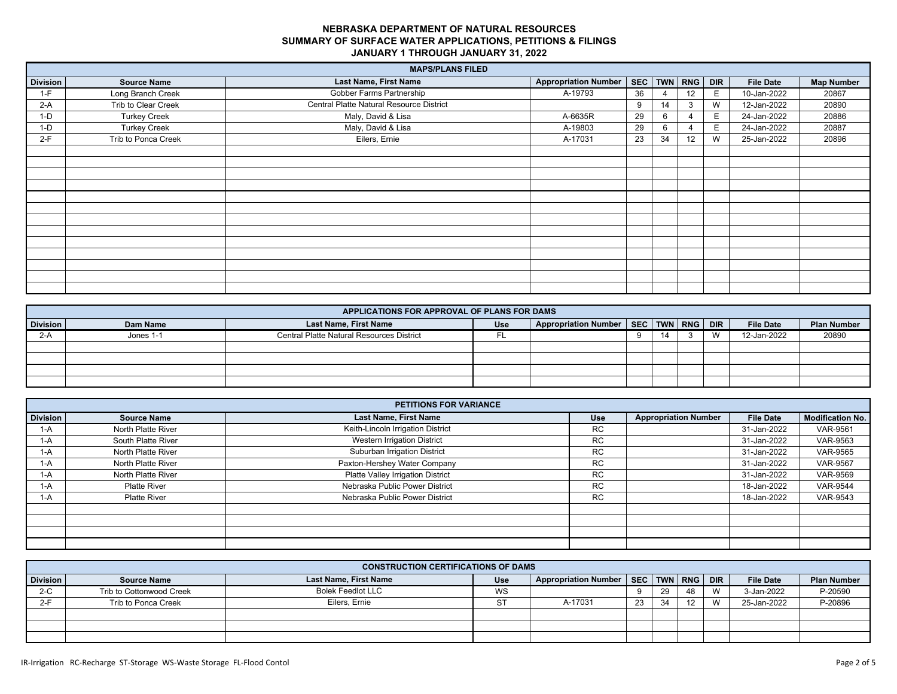|          |                     | <b>MAPS/PLANS FILED</b>                  |                             |    |    |             |            |                  |                   |
|----------|---------------------|------------------------------------------|-----------------------------|----|----|-------------|------------|------------------|-------------------|
| Division | <b>Source Name</b>  | Last Name, First Name                    | <b>Appropriation Number</b> |    |    | SEC TWN RNG | <b>DIR</b> | <b>File Date</b> | <b>Map Number</b> |
| $1-F$    | Long Branch Creek   | Gobber Farms Partnership                 | A-19793                     | 36 |    | 12          | E.         | 10-Jan-2022      | 20867             |
| $2-A$    | Trib to Clear Creek | Central Platte Natural Resource District |                             | 9  | 14 | 3           | W          | 12-Jan-2022      | 20890             |
| $1-D$    | <b>Turkey Creek</b> | Maly, David & Lisa                       | A-6635R                     | 29 | ĥ  |             | E.         | 24-Jan-2022      | 20886             |
| $1-D$    | <b>Turkey Creek</b> | Maly, David & Lisa                       | A-19803                     | 29 |    |             | Е          | 24-Jan-2022      | 20887             |
| $2-F$    | Trib to Ponca Creek | Eilers, Ernie                            | A-17031                     | 23 | 34 | 12          | W          | 25-Jan-2022      | 20896             |
|          |                     |                                          |                             |    |    |             |            |                  |                   |
|          |                     |                                          |                             |    |    |             |            |                  |                   |
|          |                     |                                          |                             |    |    |             |            |                  |                   |
|          |                     |                                          |                             |    |    |             |            |                  |                   |
|          |                     |                                          |                             |    |    |             |            |                  |                   |
|          |                     |                                          |                             |    |    |             |            |                  |                   |
|          |                     |                                          |                             |    |    |             |            |                  |                   |
|          |                     |                                          |                             |    |    |             |            |                  |                   |
|          |                     |                                          |                             |    |    |             |            |                  |                   |
|          |                     |                                          |                             |    |    |             |            |                  |                   |
|          |                     |                                          |                             |    |    |             |            |                  |                   |
|          |                     |                                          |                             |    |    |             |            |                  |                   |
|          |                     |                                          |                             |    |    |             |            |                  |                   |

|                 | APPLICATIONS FOR APPROVAL OF PLANS FOR DAMS |                                                  |            |                                              |    |  |  |   |                  |                    |
|-----------------|---------------------------------------------|--------------------------------------------------|------------|----------------------------------------------|----|--|--|---|------------------|--------------------|
| <b>Division</b> | Dam Name                                    | Last Name, First Name                            | <b>Use</b> | Appropriation Number   SEC   TWN   RNG   DIR |    |  |  |   | <b>File Date</b> | <b>Plan Number</b> |
| $2-A$           | Jones 1-1                                   | <b>Central Platte Natural Resources District</b> |            |                                              | -9 |  |  | W | 12-Jan-2022      | 20890              |
|                 |                                             |                                                  |            |                                              |    |  |  |   |                  |                    |
|                 |                                             |                                                  |            |                                              |    |  |  |   |                  |                    |
|                 |                                             |                                                  |            |                                              |    |  |  |   |                  |                    |
|                 |                                             |                                                  |            |                                              |    |  |  |   |                  |                    |

|                 | <b>PETITIONS FOR VARIANCE</b> |                                   |            |                             |                  |                         |  |  |  |  |  |  |
|-----------------|-------------------------------|-----------------------------------|------------|-----------------------------|------------------|-------------------------|--|--|--|--|--|--|
| <b>Division</b> | <b>Source Name</b>            | <b>Last Name, First Name</b>      | <b>Use</b> | <b>Appropriation Number</b> | <b>File Date</b> | <b>Modification No.</b> |  |  |  |  |  |  |
| $1-A$           | North Platte River            | Keith-Lincoln Irrigation District | <b>RC</b>  |                             | 31-Jan-2022      | <b>VAR-9561</b>         |  |  |  |  |  |  |
| 1-A             | South Platte River            | Western Irrigation District       | <b>RC</b>  |                             | 31-Jan-2022      | VAR-9563                |  |  |  |  |  |  |
| 1-A             | North Platte River            | Suburban Irrigation District      | <b>RC</b>  |                             | 31-Jan-2022      | <b>VAR-9565</b>         |  |  |  |  |  |  |
| $1-A$           | North Platte River            | Paxton-Hershey Water Company      | <b>RC</b>  |                             | 31-Jan-2022      | <b>VAR-9567</b>         |  |  |  |  |  |  |
| 1-A             | North Platte River            | Platte Valley Irrigation District | <b>RC</b>  |                             | 31-Jan-2022      | <b>VAR-9569</b>         |  |  |  |  |  |  |
| 1-A             | <b>Platte River</b>           | Nebraska Public Power District    | <b>RC</b>  |                             | 18-Jan-2022      | <b>VAR-9544</b>         |  |  |  |  |  |  |
| $1-A$           | <b>Platte River</b>           | Nebraska Public Power District    | <b>RC</b>  |                             | 18-Jan-2022      | VAR-9543                |  |  |  |  |  |  |
|                 |                               |                                   |            |                             |                  |                         |  |  |  |  |  |  |
|                 |                               |                                   |            |                             |                  |                         |  |  |  |  |  |  |
|                 |                               |                                   |            |                             |                  |                         |  |  |  |  |  |  |
|                 |                               |                                   |            |                             |                  |                         |  |  |  |  |  |  |

|                 | <b>CONSTRUCTION CERTIFICATIONS OF DAMS</b> |                          |     |                                              |    |    |            |                |                  |                    |
|-----------------|--------------------------------------------|--------------------------|-----|----------------------------------------------|----|----|------------|----------------|------------------|--------------------|
| <b>Division</b> | <b>Source Name</b>                         | Last Name, First Name    | Use | Appropriation Number   SEC   TWN   RNG   DIR |    |    |            |                | <b>File Date</b> | <b>Plan Number</b> |
| $2-C$           | Trib to Cottonwood Creek                   | <b>Bolek Feedlot LLC</b> | WS  |                                              | Ω  | 29 | 48         | $\overline{M}$ | 3-Jan-2022       | P-20590            |
| $2-F$           | Trib to Ponca Creek                        | Eilers, Ernie            |     | A-17031                                      | 23 | 31 | $\sqrt{2}$ | $\overline{M}$ | 25-Jan-2022      | P-20896            |
|                 |                                            |                          |     |                                              |    |    |            |                |                  |                    |
|                 |                                            |                          |     |                                              |    |    |            |                |                  |                    |
|                 |                                            |                          |     |                                              |    |    |            |                |                  |                    |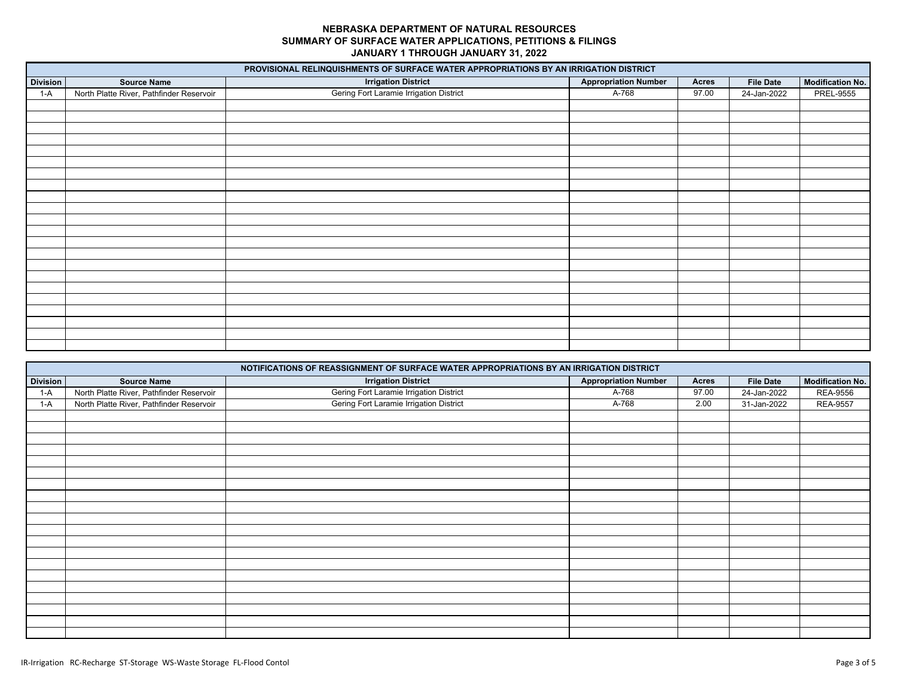|                 |                                          | PROVISIONAL RELINQUISHMENTS OF SURFACE WATER APPROPRIATIONS BY AN IRRIGATION DISTRICT |                             |       |                  |                         |
|-----------------|------------------------------------------|---------------------------------------------------------------------------------------|-----------------------------|-------|------------------|-------------------------|
| <b>Division</b> | <b>Source Name</b>                       | <b>Irrigation District</b>                                                            | <b>Appropriation Number</b> | Acres | <b>File Date</b> | <b>Modification No.</b> |
| $1-A$           | North Platte River, Pathfinder Reservoir | Gering Fort Laramie Irrigation District                                               | A-768                       | 97.00 | 24-Jan-2022      | <b>PREL-9555</b>        |
|                 |                                          |                                                                                       |                             |       |                  |                         |
|                 |                                          |                                                                                       |                             |       |                  |                         |
|                 |                                          |                                                                                       |                             |       |                  |                         |
|                 |                                          |                                                                                       |                             |       |                  |                         |
|                 |                                          |                                                                                       |                             |       |                  |                         |
|                 |                                          |                                                                                       |                             |       |                  |                         |
|                 |                                          |                                                                                       |                             |       |                  |                         |
|                 |                                          |                                                                                       |                             |       |                  |                         |
|                 |                                          |                                                                                       |                             |       |                  |                         |
|                 |                                          |                                                                                       |                             |       |                  |                         |
|                 |                                          |                                                                                       |                             |       |                  |                         |
|                 |                                          |                                                                                       |                             |       |                  |                         |
|                 |                                          |                                                                                       |                             |       |                  |                         |
|                 |                                          |                                                                                       |                             |       |                  |                         |
|                 |                                          |                                                                                       |                             |       |                  |                         |
|                 |                                          |                                                                                       |                             |       |                  |                         |
|                 |                                          |                                                                                       |                             |       |                  |                         |
|                 |                                          |                                                                                       |                             |       |                  |                         |
|                 |                                          |                                                                                       |                             |       |                  |                         |
|                 |                                          |                                                                                       |                             |       |                  |                         |
|                 |                                          |                                                                                       |                             |       |                  |                         |
|                 |                                          |                                                                                       |                             |       |                  |                         |

|                 |                                          | NOTIFICATIONS OF REASSIGNMENT OF SURFACE WATER APPROPRIATIONS BY AN IRRIGATION DISTRICT |                             |       |                  |                         |
|-----------------|------------------------------------------|-----------------------------------------------------------------------------------------|-----------------------------|-------|------------------|-------------------------|
| <b>Division</b> | <b>Source Name</b>                       | <b>Irrigation District</b>                                                              | <b>Appropriation Number</b> | Acres | <b>File Date</b> | <b>Modification No.</b> |
| $1-A$           | North Platte River, Pathfinder Reservoir | Gering Fort Laramie Irrigation District                                                 | A-768                       | 97.00 | 24-Jan-2022      | <b>REA-9556</b>         |
| $1-A$           | North Platte River, Pathfinder Reservoir | Gering Fort Laramie Irrigation District                                                 | A-768                       | 2.00  | 31-Jan-2022      | <b>REA-9557</b>         |
|                 |                                          |                                                                                         |                             |       |                  |                         |
|                 |                                          |                                                                                         |                             |       |                  |                         |
|                 |                                          |                                                                                         |                             |       |                  |                         |
|                 |                                          |                                                                                         |                             |       |                  |                         |
|                 |                                          |                                                                                         |                             |       |                  |                         |
|                 |                                          |                                                                                         |                             |       |                  |                         |
|                 |                                          |                                                                                         |                             |       |                  |                         |
|                 |                                          |                                                                                         |                             |       |                  |                         |
|                 |                                          |                                                                                         |                             |       |                  |                         |
|                 |                                          |                                                                                         |                             |       |                  |                         |
|                 |                                          |                                                                                         |                             |       |                  |                         |
|                 |                                          |                                                                                         |                             |       |                  |                         |
|                 |                                          |                                                                                         |                             |       |                  |                         |
|                 |                                          |                                                                                         |                             |       |                  |                         |
|                 |                                          |                                                                                         |                             |       |                  |                         |
|                 |                                          |                                                                                         |                             |       |                  |                         |
|                 |                                          |                                                                                         |                             |       |                  |                         |
|                 |                                          |                                                                                         |                             |       |                  |                         |
|                 |                                          |                                                                                         |                             |       |                  |                         |
|                 |                                          |                                                                                         |                             |       |                  |                         |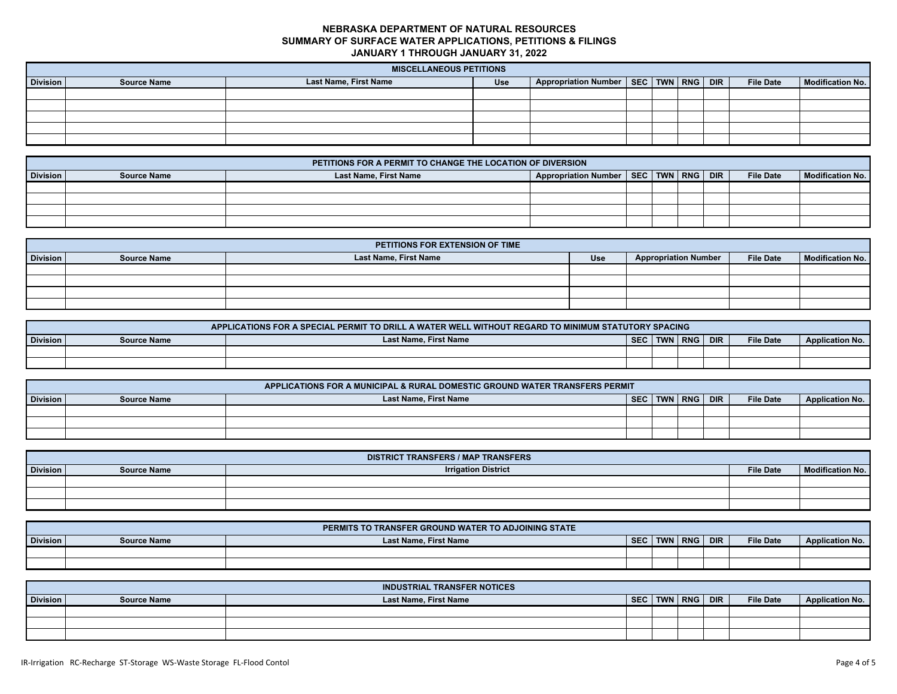|          | <b>MISCELLANEOUS PETITIONS</b> |                       |            |                                              |  |  |  |  |                  |                         |
|----------|--------------------------------|-----------------------|------------|----------------------------------------------|--|--|--|--|------------------|-------------------------|
| Division | <b>Source Name</b>             | Last Name, First Name | <b>Use</b> | Appropriation Number   SEC   TWN   RNG   DIR |  |  |  |  | <b>File Date</b> | <b>Modification No.</b> |
|          |                                |                       |            |                                              |  |  |  |  |                  |                         |
|          |                                |                       |            |                                              |  |  |  |  |                  |                         |
|          |                                |                       |            |                                              |  |  |  |  |                  |                         |
|          |                                |                       |            |                                              |  |  |  |  |                  |                         |
|          |                                |                       |            |                                              |  |  |  |  |                  |                         |

|          | PETITIONS FOR A PERMIT TO CHANGE THE LOCATION OF DIVERSION |                              |                                              |  |  |  |  |                  |                         |  |  |
|----------|------------------------------------------------------------|------------------------------|----------------------------------------------|--|--|--|--|------------------|-------------------------|--|--|
| Division | <b>Source Name</b>                                         | <b>Last Name, First Name</b> | Appropriation Number   SEC   TWN   RNG   DIR |  |  |  |  | <b>File Date</b> | <b>Modification No.</b> |  |  |
|          |                                                            |                              |                                              |  |  |  |  |                  |                         |  |  |
|          |                                                            |                              |                                              |  |  |  |  |                  |                         |  |  |
|          |                                                            |                              |                                              |  |  |  |  |                  |                         |  |  |
|          |                                                            |                              |                                              |  |  |  |  |                  |                         |  |  |

|                 | PETITIONS FOR EXTENSION OF TIME |                       |            |                             |                  |                  |  |  |  |  |  |
|-----------------|---------------------------------|-----------------------|------------|-----------------------------|------------------|------------------|--|--|--|--|--|
| <b>Division</b> | <b>Source Name</b>              | Last Name, First Name | <b>Use</b> | <b>Appropriation Number</b> | <b>File Date</b> | Modification No. |  |  |  |  |  |
|                 |                                 |                       |            |                             |                  |                  |  |  |  |  |  |
|                 |                                 |                       |            |                             |                  |                  |  |  |  |  |  |
|                 |                                 |                       |            |                             |                  |                  |  |  |  |  |  |
|                 |                                 |                       |            |                             |                  |                  |  |  |  |  |  |

|          | APPLICATIONS FOR A SPECIAL PERMIT TO DRILL A WATER WELL WITHOUT REGARD TO MINIMUM STATUTORY SPACING |                              |            |  |           |            |                  |                        |  |  |  |
|----------|-----------------------------------------------------------------------------------------------------|------------------------------|------------|--|-----------|------------|------------------|------------------------|--|--|--|
| Division | <b>Source Name</b>                                                                                  | <b>Last Name, First Name</b> | <b>SEC</b> |  | TWN   RNG | <b>DIR</b> | <b>File Date</b> | <b>Application No.</b> |  |  |  |
|          |                                                                                                     |                              |            |  |           |            |                  |                        |  |  |  |
|          |                                                                                                     |                              |            |  |           |            |                  |                        |  |  |  |

| APPLICATIONS FOR A MUNICIPAL & RURAL DOMESTIC GROUND WATER TRANSFERS PERMIT |                    |                       |            |            |       |            |                  |                        |  |  |
|-----------------------------------------------------------------------------|--------------------|-----------------------|------------|------------|-------|------------|------------------|------------------------|--|--|
| <b>Division</b>                                                             | <b>Source Name</b> | Last Name, First Name | <b>SEC</b> | <b>TWN</b> | RNG I | <b>DIR</b> | <b>File Date</b> | <b>Application No.</b> |  |  |
|                                                                             |                    |                       |            |            |       |            |                  |                        |  |  |
|                                                                             |                    |                       |            |            |       |            |                  |                        |  |  |
|                                                                             |                    |                       |            |            |       |            |                  |                        |  |  |

|                 | <b>DISTRICT TRANSFERS / MAP TRANSFERS</b> |                            |                  |                         |  |  |  |  |  |  |  |  |
|-----------------|-------------------------------------------|----------------------------|------------------|-------------------------|--|--|--|--|--|--|--|--|
| <b>Division</b> | <b>Source Name</b>                        | <b>Irrigation District</b> | <b>File Date</b> | <b>Modification No.</b> |  |  |  |  |  |  |  |  |
|                 |                                           |                            |                  |                         |  |  |  |  |  |  |  |  |
|                 |                                           |                            |                  |                         |  |  |  |  |  |  |  |  |
|                 |                                           |                            |                  |                         |  |  |  |  |  |  |  |  |

|                 |                    | PERMITS TO TRANSFER GROUND WATER TO ADJOINING STATE |            |            |            |            |                  |                        |
|-----------------|--------------------|-----------------------------------------------------|------------|------------|------------|------------|------------------|------------------------|
| <b>Division</b> | <b>Source Name</b> | <b>Last Name, First Name</b>                        | <b>SEC</b> | <b>TWN</b> | <b>RNG</b> | <b>DIR</b> | <b>File Date</b> | <b>Application No.</b> |
|                 |                    |                                                     |            |            |            |            |                  |                        |
|                 |                    |                                                     |            |            |            |            |                  |                        |

|                 |                    | <b>INDUSTRIAL TRANSFER NOTICES</b> |            |             |                  |                        |
|-----------------|--------------------|------------------------------------|------------|-------------|------------------|------------------------|
| <b>Division</b> | <b>Source Name</b> | <b>Last Name, First Name</b>       | <b>SEC</b> | TWN RNG DIR | <b>File Date</b> | <b>Application No.</b> |
|                 |                    |                                    |            |             |                  |                        |
|                 |                    |                                    |            |             |                  |                        |
|                 |                    |                                    |            |             |                  |                        |